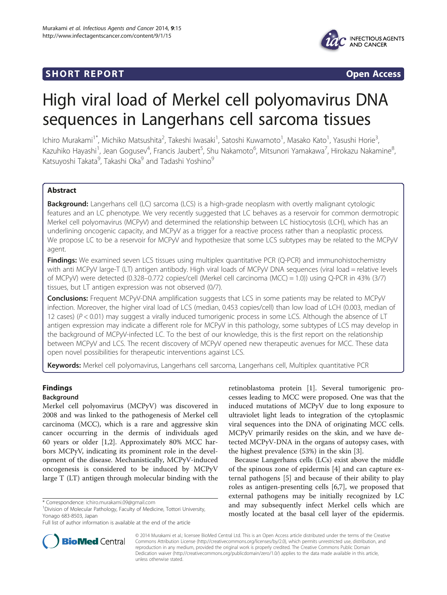## **SHORT REPORT SHORT CONSUMING THE SHORT CONSUMING THE SHORT CONSUMING THE SHORT CONSUMING THE SHORT CONSUMING THE SHORT CONSUMING THE SHORT CONSUMING THE SHORT CONSUMING THE SHORT CONSUMING THE SHORT CONSUMING THE SHORT**



# High viral load of Merkel cell polyomavirus DNA sequences in Langerhans cell sarcoma tissues

Ichiro Murakami<sup>1\*</sup>, Michiko Matsushita<sup>2</sup>, Takeshi Iwasaki<sup>1</sup>, Satoshi Kuwamoto<sup>1</sup>, Masako Kato<sup>1</sup>, Yasushi Horie<sup>3</sup> , Kazuhiko Hayashi<sup>1</sup>, Jean Gogusev<sup>4</sup>, Francis Jaubert<sup>5</sup>, Shu Nakamoto<sup>6</sup>, Mitsunori Yamakawa<sup>7</sup>, Hirokazu Nakamine<sup>8</sup> ;<br>, Katsuyoshi Takata<sup>9</sup>, Takashi Oka<sup>9</sup> and Tadashi Yoshino<sup>9</sup>

## Abstract

**Background:** Langerhans cell (LC) sarcoma (LCS) is a high-grade neoplasm with overtly malignant cytologic features and an LC phenotype. We very recently suggested that LC behaves as a reservoir for common dermotropic Merkel cell polyomavirus (MCPyV) and determined the relationship between LC histiocytosis (LCH), which has an underlining oncogenic capacity, and MCPyV as a trigger for a reactive process rather than a neoplastic process. We propose LC to be a reservoir for MCPyV and hypothesize that some LCS subtypes may be related to the MCPyV agent.

Findings: We examined seven LCS tissues using multiplex quantitative PCR (Q-PCR) and immunohistochemistry with anti MCPyV large-T (LT) antigen antibody. High viral loads of MCPyV DNA sequences (viral load = relative levels of MCPyV) were detected (0.328–0.772 copies/cell (Merkel cell carcinoma (MCC) = 1.0)) using Q-PCR in 43% (3/7) tissues, but LT antigen expression was not observed (0/7).

**Conclusions:** Frequent MCPyV-DNA amplification suggests that LCS in some patients may be related to MCPyV infection. Moreover, the higher viral load of LCS (median, 0.453 copies/cell) than low load of LCH (0.003, median of 12 cases) ( $P < 0.01$ ) may suggest a virally induced tumorigenic process in some LCS. Although the absence of LT antigen expression may indicate a different role for MCPyV in this pathology, some subtypes of LCS may develop in the background of MCPyV-infected LC. To the best of our knowledge, this is the first report on the relationship between MCPyV and LCS. The recent discovery of MCPyV opened new therapeutic avenues for MCC. These data open novel possibilities for therapeutic interventions against LCS.

Keywords: Merkel cell polyomavirus, Langerhans cell sarcoma, Langerhans cell, Multiplex quantitative PCR

## Findings

## Background

Merkel cell polyomavirus (MCPyV) was discovered in 2008 and was linked to the pathogenesis of Merkel cell carcinoma (MCC), which is a rare and aggressive skin cancer occurring in the dermis of individuals aged 60 years or older [\[1,2](#page-3-0)]. Approximately 80% MCC harbors MCPyV, indicating its prominent role in the development of the disease. Mechanistically, MCPyV-induced oncogenesis is considered to be induced by MCPyV large T (LT) antigen through molecular binding with the

retinoblastoma protein [\[1\]](#page-3-0). Several tumorigenic processes leading to MCC were proposed. One was that the induced mutations of MCPyV due to long exposure to ultraviolet light leads to integration of the cytoplasmic viral sequences into the DNA of originating MCC cells. MCPyV primarily resides on the skin, and we have detected MCPyV-DNA in the organs of autopsy cases, with the highest prevalence (53%) in the skin [[3\]](#page-3-0).

Because Langerhans cells (LCs) exist above the middle of the spinous zone of epidermis [[4](#page-3-0)] and can capture external pathogens [[5](#page-3-0)] and because of their ability to play roles as antigen-presenting cells [[6,7\]](#page-3-0), we proposed that external pathogens may be initially recognized by LC and may subsequently infect Merkel cells which are mostly located at the basal cell layer of the epidermis.



© 2014 Murakami et al.; licensee BioMed Central Ltd. This is an Open Access article distributed under the terms of the Creative Commons Attribution License [\(http://creativecommons.org/licenses/by/2.0\)](http://creativecommons.org/licenses/by/2.0), which permits unrestricted use, distribution, and reproduction in any medium, provided the original work is properly credited. The Creative Commons Public Domain Dedication waiver [\(http://creativecommons.org/publicdomain/zero/1.0/](http://creativecommons.org/publicdomain/zero/1.0/)) applies to the data made available in this article, unless otherwise stated.

<sup>\*</sup> Correspondence: [ichiro.murakami.09@gmail.com](mailto:ichiro.murakami.09@gmail.com) <sup>1</sup>

<sup>&</sup>lt;sup>1</sup> Division of Molecular Pathology, Faculty of Medicine, Tottori University, Yonago 683-8503, Japan

Full list of author information is available at the end of the article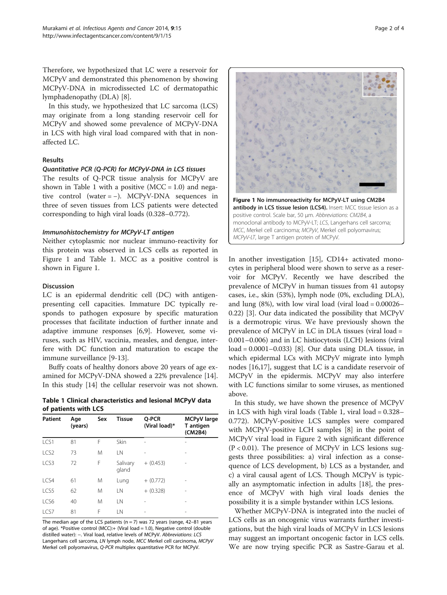Therefore, we hypothesized that LC were a reservoir for MCPyV and demonstrated this phenomenon by showing MCPyV-DNA in microdissected LC of dermatopathic lymphadenopathy (DLA) [[8\]](#page-3-0).

In this study, we hypothesized that LC sarcoma (LCS) may originate from a long standing reservoir cell for MCPyV and showed some prevalence of MCPyV-DNA in LCS with high viral load compared with that in nonaffected LC.

#### Results

#### Quantitative PCR (Q-PCR) for MCPyV-DNA in LCS tissues

The results of Q-PCR tissue analysis for MCPyV are shown in Table 1 with a positive  $(MCC = 1.0)$  and negative control (water = −). MCPyV-DNA sequences in three of seven tissues from LCS patients were detected corresponding to high viral loads (0.328–0.772).

#### Immunohistochemistry for MCPyV-LT antigen

Neither cytoplasmic nor nuclear immuno-reactivity for this protein was observed in LCS cells as reported in Figure 1 and Table 1. MCC as a positive control is shown in Figure 1.

#### Discussion

LC is an epidermal dendritic cell (DC) with antigenpresenting cell capacities. Immature DC typically responds to pathogen exposure by specific maturation processes that facilitate induction of further innate and adaptive immune responses [\[6,9](#page-3-0)]. However, some viruses, such as HIV, vaccinia, measles, and dengue, interfere with DC function and maturation to escape the immune surveillance [\[9-13](#page-3-0)].

Buffy coats of healthy donors above 20 years of age examined for MCPyV-DNA showed a 22% prevalence [\[14](#page-3-0)]. In this study [\[14\]](#page-3-0) the cellular reservoir was not shown.

Table 1 Clinical characteristics and lesional MCPyV data of patients with LCS

| <b>Patient</b>   | Age<br>(years) | Sex | <b>Tissue</b>     | Q-PCR<br>(Viral load)* | <b>MCPyV</b> large<br>T antigen<br>(CM2B4) |
|------------------|----------------|-----|-------------------|------------------------|--------------------------------------------|
| LCS1             | 81             | F   | Skin              | $\overline{a}$         | -                                          |
| LCS <sub>2</sub> | 73             | M   | LN                |                        |                                            |
| LCS3             | 72             | F   | Salivary<br>gland | $+ (0.453)$            | ۰                                          |
| LCS4             | 61             | M   | Lung              | $+(0.772)$             |                                            |
| LCS5             | 62             | M   | LN                | $+$ (0.328)            | ۰                                          |
| LCS6             | 40             | M   | I N               |                        | -                                          |
| LCS7             | 81             | F   | I N               | $\overline{a}$         | -                                          |

The median age of the LCS patients ( $n = 7$ ) was 72 years (range, 42–81 years of age). \*Positive control (MCC):+ (Viral load = 1.0), Negative control (double distilled water): −. Viral load, relative levels of MCPyV. Abbreviations: LCS Langerhans cell sarcoma, LN lymph node, MCC Merkel cell carcinoma, MCPyV Merkel cell polyomavirus, Q-PCR multiplex quantitative PCR for MCPyV.



In another investigation [\[15\]](#page-3-0), CD14+ activated monocytes in peripheral blood were shown to serve as a reservoir for MCPyV. Recently we have described the prevalence of MCPyV in human tissues from 41 autopsy cases, i.e., skin (53%), lymph node (0%, excluding DLA), and lung  $(8%)$ , with low viral load (viral load =  $0.00026-$ 0.22) [\[3](#page-3-0)]. Our data indicated the possibility that MCPyV is a dermotropic virus. We have previously shown the prevalence of MCPyV in LC in DLA tissues (viral load = 0.001–0.006) and in LC histiocytosis (LCH) lesions (viral load = 0.0001–0.033) [\[8](#page-3-0)]. Our data using DLA tissue, in which epidermal LCs with MCPyV migrate into lymph nodes [[16,17\]](#page-3-0), suggest that LC is a candidate reservoir of MCPyV in the epidermis. MCPyV may also interfere with LC functions similar to some viruses, as mentioned above.

In this study, we have shown the presence of MCPyV in LCS with high viral loads (Table 1, viral load = 0.328– 0.772). MCPyV-positive LCS samples were compared with MCPyV-positive LCH samples [[8](#page-3-0)] in the point of MCPyV viral load in Figure [2](#page-2-0) with significant difference  $(P < 0.01)$ . The presence of MCPyV in LCS lesions suggests three possibilities: a) viral infection as a consequence of LCS development, b) LCS as a bystander, and c) a viral causal agent of LCS. Though MCPyV is typically an asymptomatic infection in adults [[18](#page-3-0)], the presence of MCPyV with high viral loads denies the possibility it is a simple bystander within LCS lesions.

Whether MCPyV-DNA is integrated into the nuclei of LCS cells as an oncogenic virus warrants further investigations, but the high viral loads of MCPyV in LCS lesions may suggest an important oncogenic factor in LCS cells. We are now trying specific PCR as Sastre-Garau et al.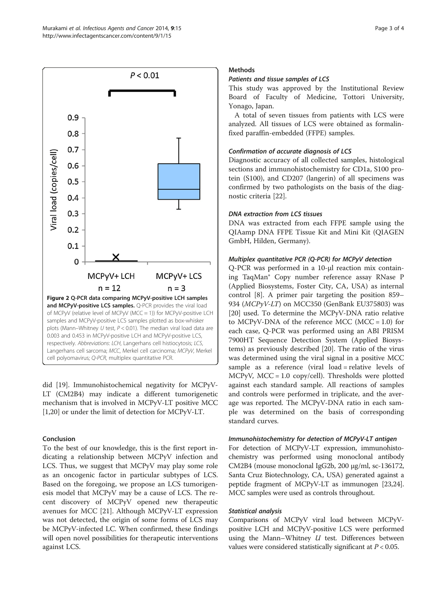<span id="page-2-0"></span>

did [[19\]](#page-3-0). Immunohistochemical negativity for MCPyV-LT (CM2B4) may indicate a different tumorigenetic mechanism that is involved in MCPyV-LT positive MCC [[1,20\]](#page-3-0) or under the limit of detection for MCPyV-LT.

## Conclusion

To the best of our knowledge, this is the first report indicating a relationship between MCPyV infection and LCS. Thus, we suggest that MCPyV may play some role as an oncogenic factor in particular subtypes of LCS. Based on the foregoing, we propose an LCS tumorigenesis model that MCPyV may be a cause of LCS. The recent discovery of MCPyV opened new therapeutic avenues for MCC [\[21](#page-3-0)]. Although MCPyV-LT expression was not detected, the origin of some forms of LCS may be MCPyV-infected LC. When confirmed, these findings will open novel possibilities for therapeutic interventions against LCS.

## **Methods**

## Patients and tissue samples of LCS

This study was approved by the Institutional Review Board of Faculty of Medicine, Tottori University, Yonago, Japan.

A total of seven tissues from patients with LCS were analyzed. All tissues of LCS were obtained as formalinfixed paraffin-embedded (FFPE) samples.

## Confirmation of accurate diagnosis of LCS

Diagnostic accuracy of all collected samples, histological sections and immunohistochemistry for CD1a, S100 protein (S100), and CD207 (langerin) of all specimens was confirmed by two pathologists on the basis of the diagnostic criteria [\[22\]](#page-3-0).

## DNA extraction from LCS tissues

DNA was extracted from each FFPE sample using the QIAamp DNA FFPE Tissue Kit and Mini Kit (QIAGEN GmbH, Hilden, Germany).

## Multiplex quantitative PCR (Q-PCR) for MCPyV detection

Q-PCR was performed in a 10-μl reaction mix containing TaqMan® Copy number reference assay RNase P (Applied Biosystems, Foster City, CA, USA) as internal control [\[8\]](#page-3-0). A primer pair targeting the position 859– 934 (MCPyV-LT) on MCC350 (GenBank EU375803) was [[20\]](#page-3-0) used. To determine the MCPyV-DNA ratio relative to MCPyV-DNA of the reference MCC (MCC =  $1.0$ ) for each case, Q-PCR was performed using an ABI PRISM 7900HT Sequence Detection System (Applied Biosystems) as previously described [[20\]](#page-3-0). The ratio of the virus was determined using the viral signal in a positive MCC sample as a reference (viral load = relative levels of MCPyV, MCC = 1.0 copy/cell). Thresholds were plotted against each standard sample. All reactions of samples and controls were performed in triplicate, and the average was reported. The MCPyV-DNA ratio in each sample was determined on the basis of corresponding standard curves.

## Immunohistochemistry for detection of MCPyV-LT antigen

For detection of MCPyV-LT expression, immunohistochemistry was performed using monoclonal antibody CM2B4 (mouse monoclonal IgG2b, 200 μg/ml, sc-136172, Santa Cruz Biotechnology, CA, USA) generated against a peptide fragment of MCPyV-LT as immunogen [\[23,24](#page-3-0)]. MCC samples were used as controls throughout.

## Statistical analysis

Comparisons of MCPyV viral load between MCPyVpositive LCH and MCPyV-positive LCS were performed using the Mann-Whitney  $U$  test. Differences between values were considered statistically significant at  $P < 0.05$ .